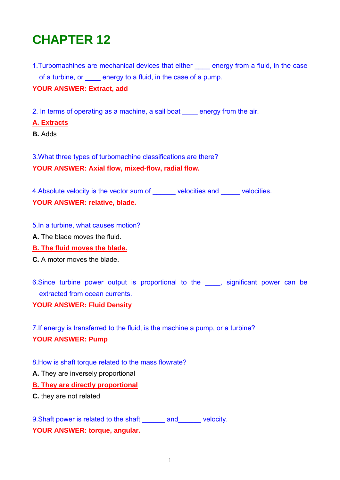# **CHAPTER 12**

1. Turbomachines are mechanical devices that either energy from a fluid, in the case of a turbine, or energy to a fluid, in the case of a pump.

## **YOUR ANSWER: Extract, add**

2. In terms of operating as a machine, a sail boat energy from the air.

## **A. Extracts**

**B.** Adds

3.What three types of turbomachine classifications are there? **YOUR ANSWER: Axial flow, mixed-flow, radial flow.** 

4.Absolute velocity is the vector sum of a velocities and velocities. **YOUR ANSWER: relative, blade.** 

#### 5.In a turbine, what causes motion?

- **A.** The blade moves the fluid.
- **B. The fluid moves the blade.**
- **C.** A motor moves the blade.

6. Since turbine power output is proportional to the , significant power can be extracted from ocean currents.

**YOUR ANSWER: Fluid Density** 

7.If energy is transferred to the fluid, is the machine a pump, or a turbine? **YOUR ANSWER: Pump** 

- 8.How is shaft torque related to the mass flowrate?
- **A.** They are inversely proportional

**B. They are directly proportional**

**C.** they are not related

9. Shaft power is related to the shaft \_\_\_\_\_\_\_ and \_\_\_\_\_\_ velocity. **YOUR ANSWER: torque, angular.**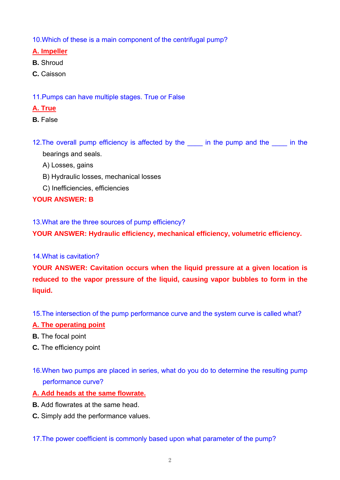10.Which of these is a main component of the centrifugal pump?

## **A. Impeller**

- **B.** Shroud
- **C.** Caisson
- 11.Pumps can have multiple stages. True or False
- **A. True**
- **B.** False
- 12. The overall pump efficiency is affected by the same in the pump and the same in the bearings and seals.
	- A) Losses, gains
	- B) Hydraulic losses, mechanical losses
	- C) Inefficiencies, efficiencies

# **YOUR ANSWER: B**

13.What are the three sources of pump efficiency?

**YOUR ANSWER: Hydraulic efficiency, mechanical efficiency, volumetric efficiency.** 

## 14.What is cavitation?

**YOUR ANSWER: Cavitation occurs when the liquid pressure at a given location is reduced to the vapor pressure of the liquid, causing vapor bubbles to form in the liquid.** 

15.The intersection of the pump performance curve and the system curve is called what?

## **A. The operating point**

- **B.** The focal point
- **C.** The efficiency point
- 16.When two pumps are placed in series, what do you do to determine the resulting pump performance curve?
- **A. Add heads at the same flowrate.**
- **B.** Add flowrates at the same head.
- **C.** Simply add the performance values.

## 17.The power coefficient is commonly based upon what parameter of the pump?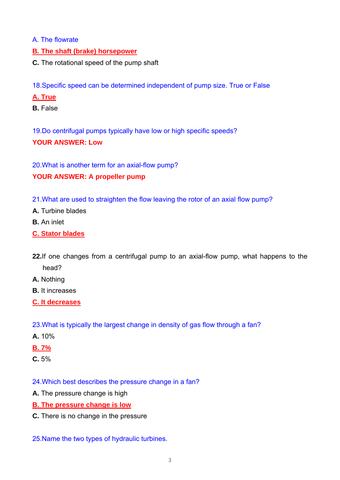- A. The flowrate
- **B. The shaft (brake) horsepower**
- **C.** The rotational speed of the pump shaft

18.Specific speed can be determined independent of pump size. True or False

- **A. True**
- **B.** False

19.Do centrifugal pumps typically have low or high specific speeds?

## **YOUR ANSWER: Low**

20.What is another term for an axial-flow pump?

## **YOUR ANSWER: A propeller pump**

- 21.What are used to straighten the flow leaving the rotor of an axial flow pump?
- **A.** Turbine blades
- **B.** An inlet
- **C. Stator blades**
- **22.**If one changes from a centrifugal pump to an axial-flow pump, what happens to the head?
- **A.** Nothing
- **B.** It increases
- **C. It decreases**
- 23.What is typically the largest change in density of gas flow through a fan?
- **A.** 10%
- **B. 7%**
- **C.** 5%

## 24.Which best describes the pressure change in a fan?

- **A.** The pressure change is high
- **B. The pressure change is low**
- **C.** There is no change in the pressure

## 25.Name the two types of hydraulic turbines.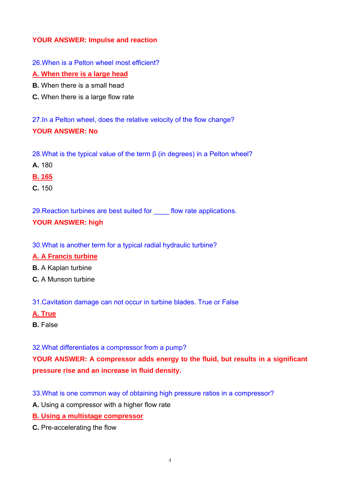## **YOUR ANSWER: Impulse and reaction**

26.When is a Pelton wheel most efficient?

#### **A. When there is a large head**

- **B.** When there is a small head
- **C.** When there is a large flow rate

27.In a Pelton wheel, does the relative velocity of the flow change? **YOUR ANSWER: No** 

28.What is the typical value of the term β (in degrees) in a Pelton wheel?

- **A.** 180
- **B. 165**
- **C.** 150

29. Reaction turbines are best suited for flow rate applications.

## **YOUR ANSWER: high**

30.What is another term for a typical radial hydraulic turbine?

## **A. A Francis turbine**

- **B.** A Kaplan turbine
- **C.** A Munson turbine

31.Cavitation damage can not occur in turbine blades. True or False

- **A. True**
- **B.** False

32.What differentiates a compressor from a pump?

**YOUR ANSWER: A compressor adds energy to the fluid, but results in a significant pressure rise and an increase in fluid density.** 

33.What is one common way of obtaining high pressure ratios in a compressor?

**A.** Using a compressor with a higher flow rate

**B. Using a multistage compressor**

**C.** Pre-accelerating the flow